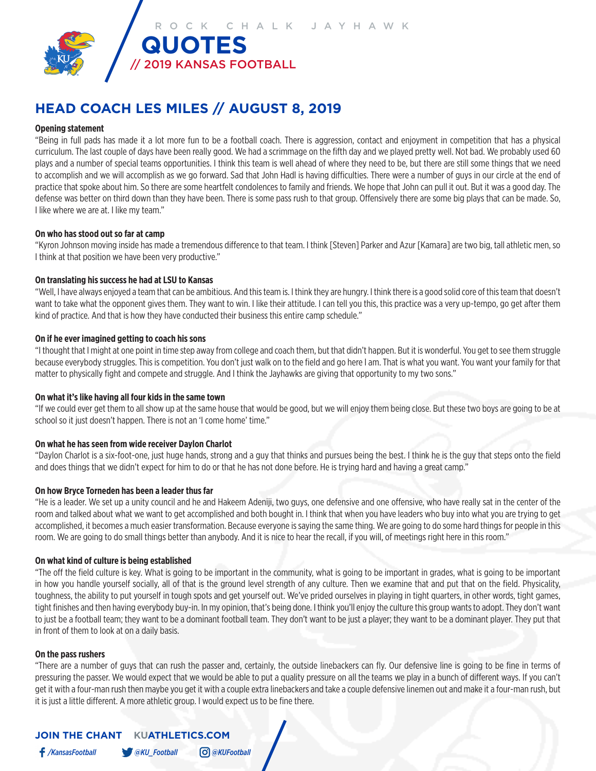

# **HEAD COACH LES MILES // AUGUST 8, 2019**

# **Opening statement**

"Being in full pads has made it a lot more fun to be a football coach. There is aggression, contact and enjoyment in competition that has a physical curriculum. The last couple of days have been really good. We had a scrimmage on the fifth day and we played pretty well. Not bad. We probably used 60 plays and a number of special teams opportunities. I think this team is well ahead of where they need to be, but there are still some things that we need to accomplish and we will accomplish as we go forward. Sad that John Hadl is having difficulties. There were a number of guys in our circle at the end of practice that spoke about him. So there are some heartfelt condolences to family and friends. We hope that John can pull it out. But it was a good day. The defense was better on third down than they have been. There is some pass rush to that group. Offensively there are some big plays that can be made. So, I like where we are at. I like my team."

#### **On who has stood out so far at camp**

"Kyron Johnson moving inside has made a tremendous difference to that team. I think [Steven] Parker and Azur [Kamara] are two big, tall athletic men, so I think at that position we have been very productive."

# **On translating his success he had at LSU to Kansas**

"Well, I have always enjoyed a team that can be ambitious. And this team is. I think they are hungry. I think there is a good solid core of this team that doesn't want to take what the opponent gives them. They want to win. I like their attitude. I can tell you this, this practice was a very up-tempo, go get after them kind of practice. And that is how they have conducted their business this entire camp schedule."

# **On if he ever imagined getting to coach his sons**

"I thought that I might at one point in time step away from college and coach them, but that didn't happen. But it is wonderful. You get to see them struggle because everybody struggles. This is competition. You don't just walk on to the field and go here I am. That is what you want. You want your family for that matter to physically fight and compete and struggle. And I think the Jayhawks are giving that opportunity to my two sons."

# **On what it's like having all four kids in the same town**

"If we could ever get them to all show up at the same house that would be good, but we will enjoy them being close. But these two boys are going to be at school so it just doesn't happen. There is not an 'I come home' time."

# **On what he has seen from wide receiver Daylon Charlot**

"Daylon Charlot is a six-foot-one, just huge hands, strong and a guy that thinks and pursues being the best. I think he is the guy that steps onto the field and does things that we didn't expect for him to do or that he has not done before. He is trying hard and having a great camp."

#### **On how Bryce Torneden has been a leader thus far**

"He is a leader. We set up a unity council and he and Hakeem Adeniji, two guys, one defensive and one offensive, who have really sat in the center of the room and talked about what we want to get accomplished and both bought in. I think that when you have leaders who buy into what you are trying to get accomplished, it becomes a much easier transformation. Because everyone is saying the same thing. We are going to do some hard things for people in this room. We are going to do small things better than anybody. And it is nice to hear the recall, if you will, of meetings right here in this room."

#### **On what kind of culture is being established**

"The off the field culture is key. What is going to be important in the community, what is going to be important in grades, what is going to be important in how you handle yourself socially, all of that is the ground level strength of any culture. Then we examine that and put that on the field. Physicality, toughness, the ability to put yourself in tough spots and get yourself out. We've prided ourselves in playing in tight quarters, in other words, tight games, tight finishes and then having everybody buy-in. In my opinion, that's being done. I think you'll enjoy the culture this group wants to adopt. They don't want to just be a football team; they want to be a dominant football team. They don't want to be just a player; they want to be a dominant player. They put that in front of them to look at on a daily basis.

#### **On the pass rushers**

"There are a number of guys that can rush the passer and, certainly, the outside linebackers can fly. Our defensive line is going to be fine in terms of pressuring the passer. We would expect that we would be able to put a quality pressure on all the teams we play in a bunch of different ways. If you can't get it with a four-man rush then maybe you get it with a couple extra linebackers and take a couple defensive linemen out and make it a four-man rush, but it is just a little different. A more athletic group. I would expect us to be fine there.

# **JOIN THE CHANT KUATHLETICS.COM**

*/KansasFootball @KU\_Football @KUFootball*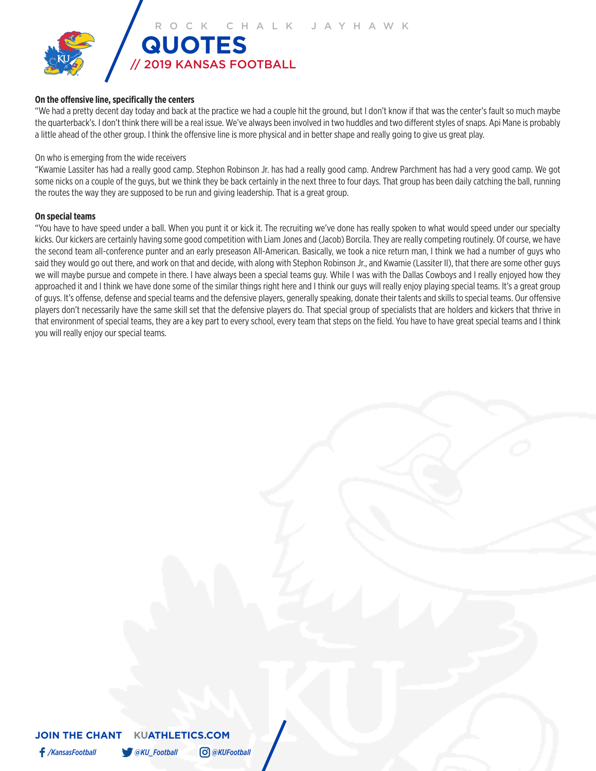

# **On the offensive line, specifically the centers**

"We had a pretty decent day today and back at the practice we had a couple hit the ground, but I don't know if that was the center's fault so much maybe the quarterback's. I don't think there will be a real issue. We've always been involved in two huddles and two different styles of snaps. Api Mane is probably a little ahead of the other group. I think the offensive line is more physical and in better shape and really going to give us great play.

#### On who is emerging from the wide receivers

"Kwamie Lassiter has had a really good camp. Stephon Robinson Jr. has had a really good camp. Andrew Parchment has had a very good camp. We got some nicks on a couple of the guys, but we think they be back certainly in the next three to four days. That group has been daily catching the ball, running the routes the way they are supposed to be run and giving leadership. That is a great group.

# **On special teams**

"You have to have speed under a ball. When you punt it or kick it. The recruiting we've done has really spoken to what would speed under our specialty kicks. Our kickers are certainly having some good competition with Liam Jones and (Jacob) Borcila. They are really competing routinely. Of course, we have the second team all-conference punter and an early preseason All-American. Basically, we took a nice return man, I think we had a number of guys who said they would go out there, and work on that and decide, with along with Stephon Robinson Jr., and Kwamie (Lassiter II), that there are some other guys we will maybe pursue and compete in there. I have always been a special teams guy. While I was with the Dallas Cowboys and I really enjoyed how they approached it and I think we have done some of the similar things right here and I think our guys will really enjoy playing special teams. It's a great group of guys. It's offense, defense and special teams and the defensive players, generally speaking, donate their talents and skills to special teams. Our offensive players don't necessarily have the same skill set that the defensive players do. That special group of specialists that are holders and kickers that thrive in that environment of special teams, they are a key part to every school, every team that steps on the field. You have to have great special teams and I think you will really enjoy our special teams.